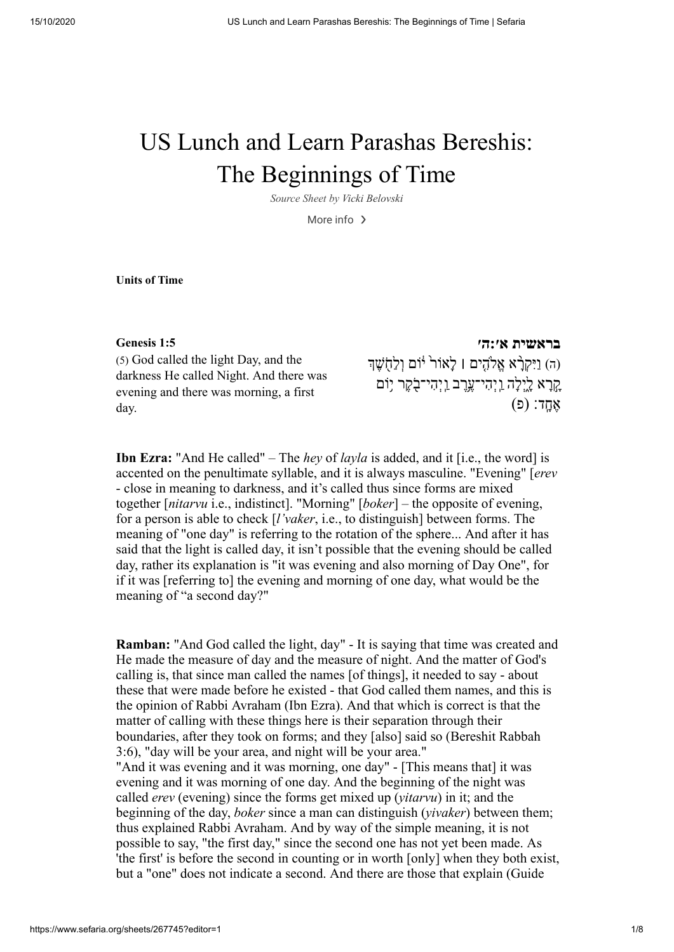# US Lunch and Learn Parashas Bereshis: The Beginnings of Time

*Source Sheet by Vicki [Belovski](https://www.sefaria.org/profile/vicki-belovski)*

More info $\rightarrow$ 

**Units of Time**

### **[בראשית](https://www.sefaria.org/Genesis.1.5) א׳:ה׳ 1:5 [Genesis](https://www.sefaria.org/Genesis.1.5)**

(5) God called the light Day, and the darkness He called Night. And there was evening and there was morning, a first day.

(ה) וַיִּקְרָ֫א אֱלֹהֶים | לַאוֹר <sup>ז</sup>ּוֹם וְלַחֲשֶׁךָ ָקְרָא לָיְלָה וַיְהִי־עֶרֶב וַיְהִי־בָקֶר יִוֹּם  $($ פ): אֲחֲד

**Ibn Ezra:** "And He called" – The *hey* of *layla* is added, and it [i.e., the word] is accented on the penultimate syllable, and it is always masculine. "Evening" [*erev* - close in meaning to darkness, and it's called thus since forms are mixed together [*nitarvu* i.e., indistinct]. "Morning" [*boker*] – the opposite of evening, for a person is able to check [*l'vaker*, i.e., to distinguish] between forms. The meaning of "one day" is referring to the rotation of the sphere... And after it has said that the light is called day, it isn't possible that the evening should be called day, rather its explanation is "it was evening and also morning of Day One", for if it was [referring to] the evening and morning of one day, what would be the meaning of "a second day?"

**Ramban:** "And God called the light, day" - It is saying that time was created and He made the measure of day and the measure of night. And the matter of God's calling is, that since man called the names [of things], it needed to say - about these that were made before he existed - that God called them names, and this is the opinion of Rabbi Avraham (Ibn Ezra). And that which is correct is that the matter of calling with these things here is their separation through their boundaries, after they took on forms; and they [also] said so (Bereshit Rabbah 3:6), "day will be your area, and night will be your area." "And it was evening and it was morning, one day" - [This means that] it was evening and it was morning of one day. And the beginning of the night was called *erev* (evening) since the forms get mixed up (*yitarvu*) in it; and the beginning of the day, *boker* since a man can distinguish (*yivaker*) between them; thus explained Rabbi Avraham. And by way of the simple meaning, it is not possible to say, "the first day," since the second one has not yet been made. As 'the first' is before the second in counting or in worth [only] when they both exist, but a "one" does not indicate a second. And there are those that explain (Guide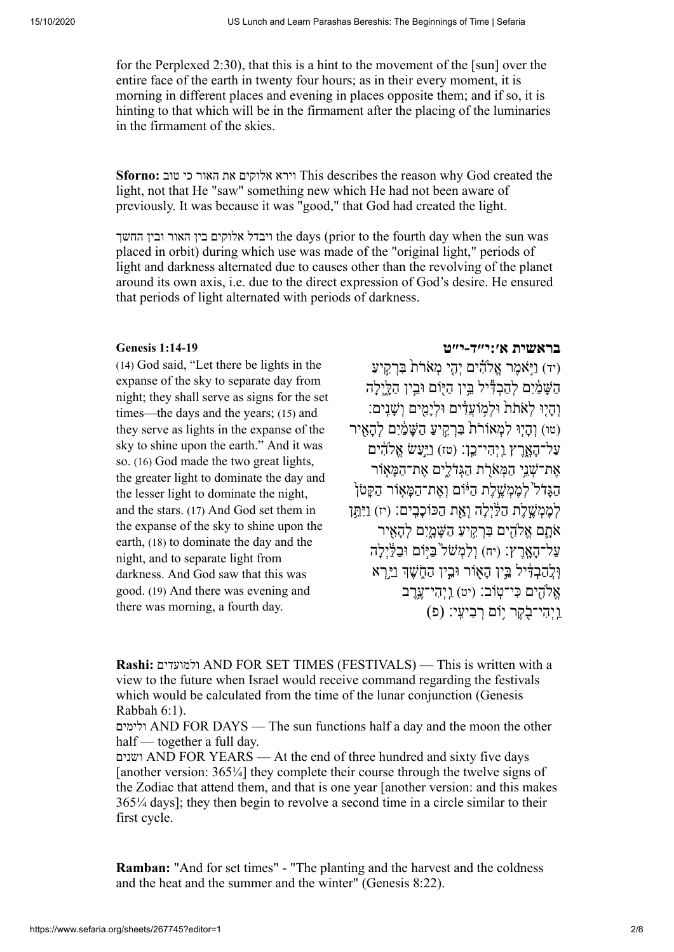for the Perplexed 2:30), that this is a hint to the movement of the [sun] over the entire face of the earth in twenty four hours; as in their every moment, it is morning in different places and evening in places opposite them; and if so, it is hinting to that which will be in the firmament after the placing of the luminaries in the firmament of the skies.

**Sforno:** טוב כי האור את אלוקים וירא This describes the reason why God created the light, not that He "saw" something new which He had not been aware of previously. It was because it was "good," that God had created the light.

החשך ובין האור בין אלוקים ויבדל the days (prior to the fourth day when the sun was placed in orbit) during which use was made of the "original light," periods of light and darkness alternated due to causes other than the revolving of the planet around its own axis, i.e. due to the direct expression of God's desire. He ensured that periods of light alternated with periods of darkness.

(14) God said, "Let there be lights in the expanse of the sky to separate day from night; they shall serve as signs for the set times—the days and the years; (15) and they serve as lights in the expanse of the sky to shine upon the earth." And it was so. (16) God made the two great lights, the greater light to dominate the day and the lesser light to dominate the night, and the stars. (17) And God set them in the expanse of the sky to shine upon the earth, (18) to dominate the day and the night, and to separate light from darkness. And God saw that this was good. (19) And there was evening and there was morning, a fourth day.

# **בראשית [א׳:י״ד-י״ט](https://www.sefaria.org/Genesis.1.14-19) 1:14-19 [Genesis](https://www.sefaria.org/Genesis.1.14-19)**

(יד) ויֹּאמר אַלֹהִ֫ים יִהי מַאֹרֹת בּרקיע הַשַּׁמַׂיִם לְהַבְדִּ<sup>בְּ</sup>יל ְבֵּין הַיִּוֹם וּבֵין הַלֵּיְלַה וְהִיוּ לִאתֹת וּלִמוֹעדים וּלִימים וִשְׁנים: (טו) והיוּ למאוֹרת ברקיע השׁמִים להאיר ַעל ָ־הָ֑אֶרץ ַֽו ְי ִהי־ֵֽכן׃ (טז) ַוַיּ֣ ַעשׂ ֱא ִ֔הים אַת־שַׁנֵי הַמָּאֹרֹת הַגִּדֹלִים אֲת־הַמּאוֹר הגּדֹל<sup>י</sup> לממשלת היוֹם ואת־המאוֹר הִקּטֹוֹ לְמֶמְשֵׁלֶת הַלַּיִלָה וְאֶת הַכּוֹכָבֵים: (יז) וַיִּתֵּן ֹאָ֛תם ֱא ִ֖הים ִבְּרִ֣ק ַיע ַ ה ָשָּׁ֑מִים ְל ָהִ֖איר על־האָרֶץ: (יח) וַלְמָשׁל<sup>י</sup>כַּיִּוֹם וּבַלְּיָלה וְּלֵהַבְדִּיל ְבֵּין הַאָוֹר וְּבֵין הַחָשֶׁךְ וַיֵּרְא ֱא ִ֖הים ִכּי־ֽטוֹב׃ (יט) ַֽו ְי ִהי ֶ֥־עֶרב ַֽו ְי ִהי־ֹ֖ב ֶקר ֥יוֹם ְ ר ִב ִֽיעי׃ (פ)

**Rashi:** ולמועדים AND FOR SET TIMES (FESTIVALS) — This is written with a view to the future when Israel would receive command regarding the festivals which would be calculated from the time of the lunar conjunction (Genesis Rabbah 6:1).

ולימים AND FOR DAYS — The sun functions half a day and the moon the other half — together a full day.

ושנים AND FOR YEARS — At the end of three hundred and sixty five days [another version: 365¼] they complete their course through the twelve signs of the Zodiac that attend them, and that is one year [another version: and this makes 365¼ days]; they then begin to revolve a second time in a circle similar to their first cycle.

**Ramban:** "And for set times" - "The planting and the harvest and the coldness and the heat and the summer and the winter" (Genesis 8:22).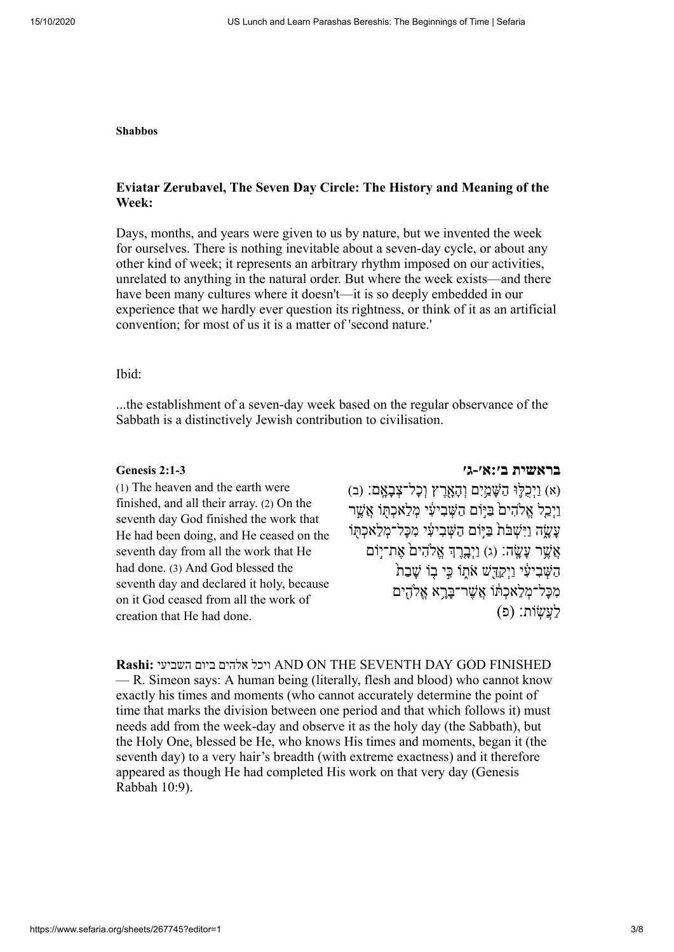### **Shabbos**

# **Eviatar Zerubavel, The Seven Day Circle: The History and Meaning of the Week:**

Days, months, and years were given to us by nature, but we invented the week for ourselves. There is nothing inevitable about a seven-day cycle, or about any other kind of week; it represents an arbitrary rhythm imposed on our activities, unrelated to anything in the natural order. But where the week exists—and there have been many cultures where it doesn't—it is so deeply embedded in our experience that we hardly ever question its rightness, or think of it as an artificial convention; for most of us it is a matter of 'second nature.'

### Ibid:

...the establishment of a seven-day week based on the regular observance of the Sabbath is a distinctively Jewish contribution to civilisation.

(1) The heaven and the earth were finished, and all their array. (2) On the seventh day God finished the work that He had been doing, and He ceased on the seventh day from all the work that He had done. (3) And God blessed the seventh day and declared it holy, because on it God ceased from all the work of creation that He had done.

**[בראשית ב׳:א׳-ג׳](https://www.sefaria.org/Genesis.2.1-3) 2:1-3 [Genesis](https://www.sefaria.org/Genesis.2.1-3)**

(א) וַיִכְלֵּוּ הַשַּׁמֵיִם וְהָאָרֶץ וְכל־צָבְאָם: (ב) ַוְיָכֵל אֱלֹהִים ּבַיִּוֹם הַשָּׁבִיעִי מְלַאכְתּוֹ אֲשֵׁר ַעֲשֵׂה וַיִּשְׁבֹּת ּבַּיִּוֹם הַשָּׁבִיעִי מְכַּל־מְלַאכְתּוֹ  $\stackrel{\cdots}{\sim}$ אֲשֶׁר עַשֶׂה: (ג) וַיְבֶרֶךְ אֱלֹהִים אֶת־יָוֹם הַשָּׁבְיעָי וַיִקַדָּשׁ אֹתוֹ כִּי בוֹ שַׁבַת מְכַּל־מָלָאכִתּוֹ אֲשֶׁר־בַּרֵא אֱלֹהֻים ַל ֲע ֽשׂוֹת׃ (פ)

**Rashi:** השביעי ביום אלהים ויכל AND ON THE SEVENTH DAY GOD FINISHED — R. Simeon says: A human being (literally, flesh and blood) who cannot know exactly his times and moments (who cannot accurately determine the point of time that marks the division between one period and that which follows it) must needs add from the week-day and observe it as the holy day (the Sabbath), but the Holy One, blessed be He, who knows His times and moments, began it (the seventh day) to a very hair's breadth (with extreme exactness) and it therefore appeared as though He had completed His work on that very day (Genesis Rabbah 10:9).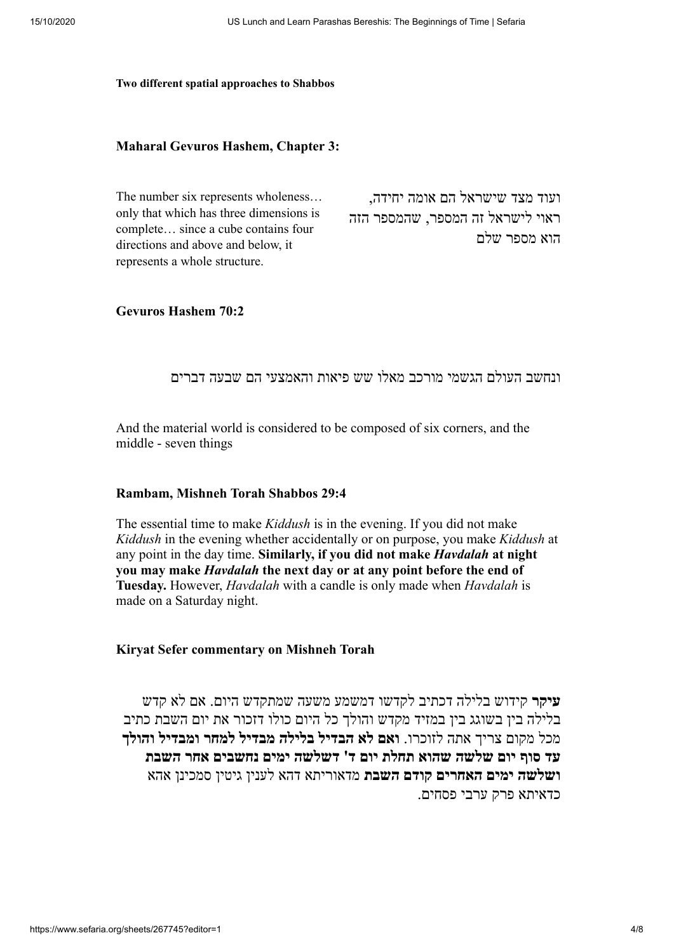### **Two different spatial approaches to Shabbos**

# **Maharal Gevuros Hashem, Chapter 3:**

| The number six represents wholeness     | ועוד מצד שישראל הם אומה יחידה,   |
|-----------------------------------------|----------------------------------|
| only that which has three dimensions is | ראוי לישראל זה המספר, שהמספר הזה |
| complete since a cube contains four     | הוא מספר שלם                     |
| directions and above and below, it      |                                  |
| represents a whole structure.           |                                  |

**Gevuros Hashem 70:2**

# ונחשב העולם הגשמי מורכב מאלו שש פיאות והאמצעי הם שבעה דברים

And the material world is considered to be composed of six corners, and the middle - seven things

## **Rambam, Mishneh Torah Shabbos 29:4**

The essential time to make *Kiddush* is in the evening. If you did not make *Kiddush* in the evening whether accidentally or on purpose, you make *Kiddush* at any point in the day time. **Similarly, if you did not make** *Havdalah* **at night you may make** *Havdalah* **the next day or at any point before the end of Tuesday.** However, *Havdalah* with a candle is only made when *Havdalah* is made on a Saturday night.

# **Kiryat Sefer commentary on Mishneh Torah**

**עיקר** קידוש בלילה דכתיב לקדשו דמשמע משעה שמתקדש היום. אם לא קדש בלילה בין בשוגג בין במזיד מקדש והולך כל היום כולו דזכור את יום השבת כתיב מכל מקום צריך אתה לזוכרו. **ואם לא הבדיל בלילה מבדיל למחר ומבדיל והולך עד סוף יום שלשה שהוא תחלת יום ד' דשלשה ימים נחשבים אחר השבת ושלשה ימים האחרים קודם השבת** מדאוריתא דהא לענין גיטין סמכינן אהא כדאיתא פרק ערבי פסחים.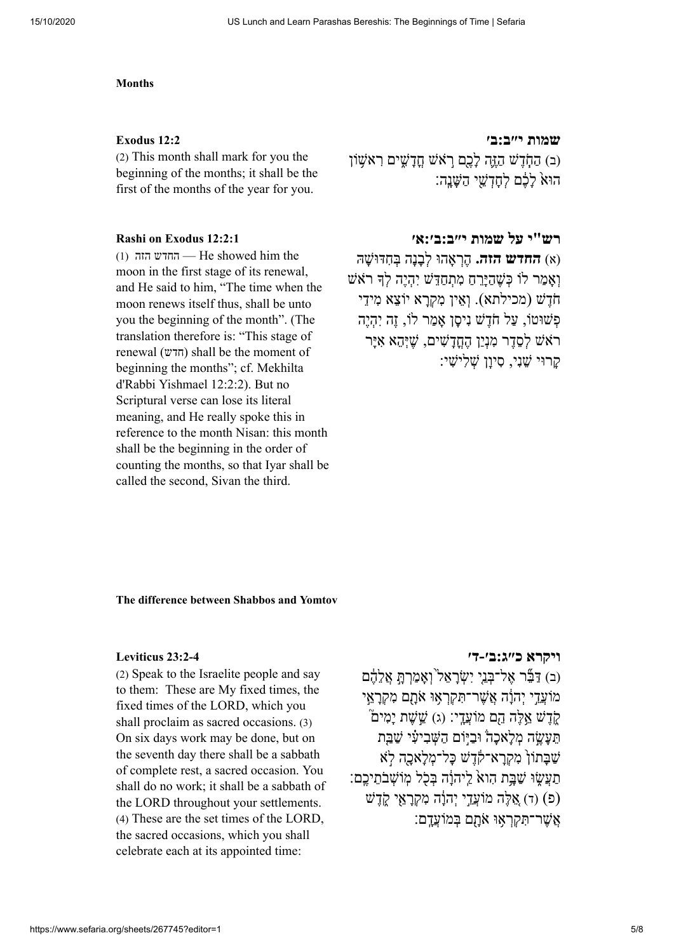### **Months**

(2) This month shall mark for you the beginning of the months; it shall be the first of the months of the year for you.

(1) הזה החדש — He showed him the moon in the first stage of its renewal, and He said to him, "The time when the moon renews itself thus, shall be unto you the beginning of the month". (The translation therefore is: "This stage of renewal (חדש) shall be the moment of beginning the months"; cf. Mekhilta d'Rabbi Yishmael 12:2:2). But no Scriptural verse can lose its literal meaning, and He really spoke this in reference to the month Nisan: this month shall be the beginning in the order of counting the months, so that Iyar shall be called the second, Sivan the third.

### **שמות [י״ב:ב׳](https://www.sefaria.org/Exodus.12.2) 12:2 [Exodus](https://www.sefaria.org/Exodus.12.2)**

(ב) הַחֶּדֵשׁ הַזֵּה לָכֶם רֹאשׁ חֲדַשִּׁים רִאשׁוֹן הוּא לֹכֶם לְחדָשֵׁי הַשַּׁנָה:

# **רש"י על שמות [י״ב:ב׳:א׳](https://www.sefaria.org/Rashi_on_Exodus.12.2.1) 12:2:1 [Exodus](https://www.sefaria.org/Rashi_on_Exodus.12.2.1) on Rashi**

(א) **החדש הזה.** ֶ הְר ָאהוּ ְל ָבָנה ְבּ ִחדּ ָ וּשׁהּ ואמר לוֹ כּשׁהירח מתחדּשׁ יהיה לדְּ רֹאַשׁ ֹחֶדשׁ (מכילתא). ְוֵאין ִמ ְקָרא יוֹ ֵצא ִמיֵדי פשׁוּטוֹ, על חֹדשׁ ניסו אמר לוֹ, זה יהיה רֹאֹשׁ לִסדר מִנִיו הַחִדשִׁים, שִׁיּהָא אִיּר ָקרוּי שָׁני, סיוו שלישי:

### **The difference between Shabbos and Yomtov**

(2) Speak to the Israelite people and say to them: These are My fixed times, the fixed times of the LORD, which you shall proclaim as sacred occasions. (3) On six days work may be done, but on the seventh day there shall be a sabbath of complete rest, a sacred occasion. You shall do no work; it shall be a sabbath of the LORD throughout your settlements. (4) These are the set times of the LORD, the sacred occasions, which you shall celebrate each at its appointed time:

## **ויקרא [כ״ג:ב׳-ד׳](https://www.sefaria.org/Leviticus.23.2-4) 23:2-4 [Leviticus](https://www.sefaria.org/Leviticus.23.2-4)**

(ב) דַּבֶּר אֱל־בְּנֵי יִשְׂרַאֱל<sup>יֹ</sup>וְאֲמַרְתָּ אֱלֵהֶם מוֹעֲדֵי יִהוֹנָה אֲשֶׁר־תִּקְרָאָוּ אֹתָם מִקְרָאֵי ֿקֶדֶשׁ אֱלֶּה הֵם מוֹעֲדֵי: (ג) שֵׁשָׁת יַמִּים תֵעֵשֶׂה מִלאכה וּבִיּוֹם הַשָּׁבִיעִי שַׁבֵּת ַשַׁבּתוֹן מָקָרא־קָדָשׁ כּל־מְלֹאָכָה לֹא תעשׂוּ שִׁבּת הוא ליהוֹה בּכֹל מוֹשבתיכם: (פ) (ד) אֲלֶה מוֹעֵדי יִהְוֹה מַקְרָאי קָדָשׁ ָאָשׁר־תִּקְרָאוּ אָתם בּמוֹעַדם: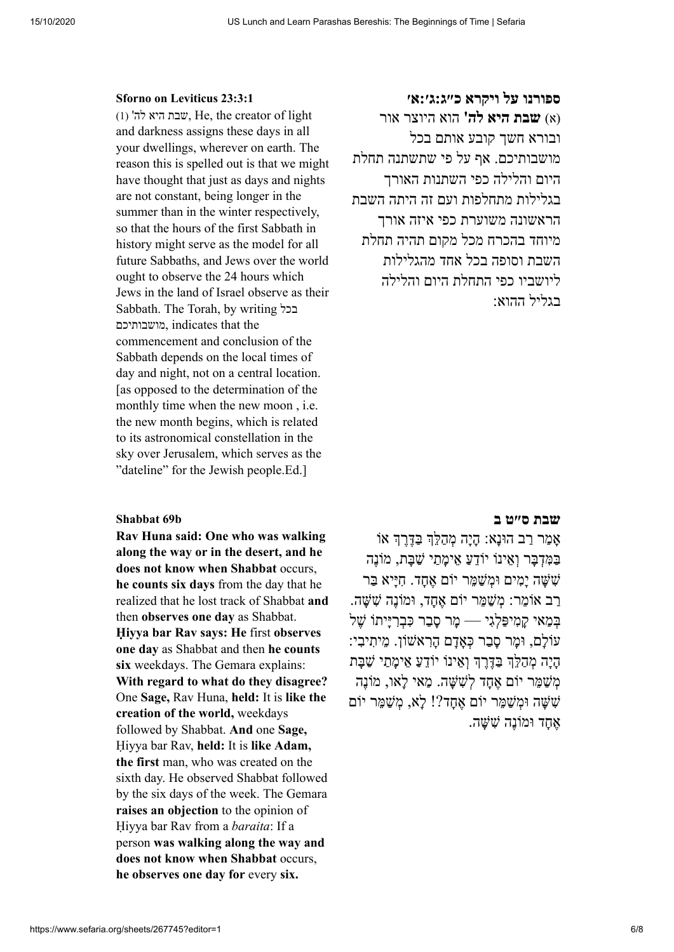# **ספורנו על ויקרא [כ״ג:ג׳:א׳](https://www.sefaria.org/Sforno_on_Leviticus.23.3.1) 23:3:1 [Leviticus](https://www.sefaria.org/Sforno_on_Leviticus.23.3.1) on Sforno**

(1) 'שבת היא לה $w$ , He, the creator of light and darkness assigns these days in all your dwellings, wherever on earth. The reason this is spelled out is that we might have thought that just as days and nights are not constant, being longer in the summer than in the winter respectively, so that the hours of the first Sabbath in history might serve as the model for all future Sabbaths, and Jews over the world ought to observe the 24 hours which Jews in the land of Israel observe as their Sabbath. The Torah, by writing בכל מושבותיכם, indicates that the commencement and conclusion of the Sabbath depends on the local times of day and night, not on a central location. [as opposed to the determination of the monthly time when the new moon , i.e. the new month begins, which is related to its astronomical constellation in the sky over Jerusalem, which serves as the "dateline" for the Jewish people.Ed.]

**Rav Huna said: One who was walking along the way or in the desert, and he does not know when Shabbat** occurs, **he counts six days** from the day that he realized that he lost track of Shabbat **and** then **observes one day** as Shabbat. **Ḥiyya bar Rav says: He** first **observes one day** as Shabbat and then **he counts six** weekdays. The Gemara explains: **With regard to what do they disagree?** One **Sage,** Rav Huna, **held:** It is **like the creation of the world,** weekdays followed by Shabbat. **And** one **Sage,** Ḥiyya bar Rav, **held:** It is **like Adam, the first** man, who was created on the sixth day. He observed Shabbat followed by the six days of the week. The Gemara **raises an objection** to the opinion of Ḥiyya bar Rav from a *baraita*: If a person **was walking along the way and does not know when Shabbat** occurs, **he observes one day for** every **six.**

(א) **שבת היא לה'** הוא היוצר אור ובורא חשך קובע אותם בכל מושבותיכם. אף על פי שתשתנה תחלת היום והלילה כפי השתנות האורך בגלילות מתחלפות ועם זה היתה השבת הראשונה משוערת כפי איזה אורך מיוחד בהכרח מכל מקום תהיה תחלת השבת וסופה בכל אחד מהגלילות ליושביו כפי התחלת היום והלילה בגליל ההוא:

# **שבת [ס״ט ב](https://www.sefaria.org/Shabbat.69b.4) b69 [Shabbat](https://www.sefaria.org/Shabbat.69b.4)**

אַמר רַב הוּנַא: הַיַה מְהַלֶּךְ בַּדֶּרֶךְ אוֹ ַבִּמִּדְבָּר וְאֵינוֹ יוֹדֵעַ אֵימָתֵי שַׁבָּת, מוֹנֵה שָׁשָׁה ימים וּמְשָׁמֵר יוֹם אֶחד. חִיּיא בַּר ָרב אוֹמֶר: מִשָׁמֵּר יוֹם אֶחד, וּמוֹנֶה שָׁשֶׁה. ָבְּמַאי קַמְיפַּלְגִי — מֵר סַבַר כִּבְרִיַּיתוֹ שֵׁל ָעוֹלֵם, וּמַר סַבַר כִּאַדַם הַרְאֹשׁוֹן. מֵיתִיבִי: ָהִיה מְהַלֵּךְ בַּדֶּרֶךְ וְאֵינוֹ יוֹדָעַ אֵימתֵי שָׁבּת ְמ ַשֵׁמּר יוֹם ֶא ָחד ְל ִשׁ ָשּׁה. ַמאי ָלאו, מוֶֹנה ִשׁ ָשּׁה וּ ְמ ַשֵׁמּר יוֹם ֶא ָחד?! ָלא, ְמ ַשֵׁמּר יוֹם אַחד וּמוֹנֵה שִׁשַּׁה.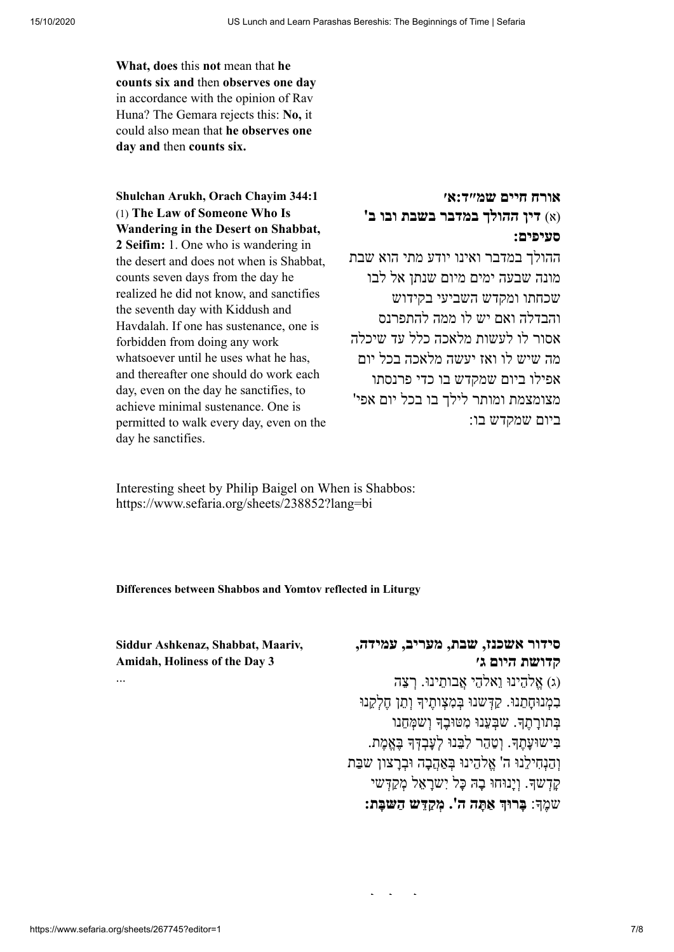**What, does** this **not** mean that **he counts six and** then **observes one day** in accordance with the opinion of Rav Huna? The Gemara rejects this: **No,** it could also mean that **he observes one day and** then **counts six.**

**אורח חיים [שמ״ד:א׳](https://www.sefaria.org/Shulchan_Arukh%2C_Orach_Chayim.344.1) 344:1 Chayim Orach ,Arukh [Shulchan](https://www.sefaria.org/Shulchan_Arukh%2C_Orach_Chayim.344.1)** (1) **The Law of Someone Who Is Wandering in the Desert on Shabbat, 2 Seifim:** 1. One who is wandering in the desert and does not when is Shabbat, counts seven days from the day he realized he did not know, and sanctifies the seventh day with Kiddush and Havdalah. If one has sustenance, one is forbidden from doing any work whatsoever until he uses what he has. and thereafter one should do work each day, even on the day he sanctifies, to achieve minimal sustenance. One is permitted to walk every day, even on the day he sanctifies.

(א) **דין ההולך במדבר בשבת ובו ב' סעיפים:**

ההולך במדבר ואינו יודע מתי הוא שבת מונה שבעה ימים מיום שנתן אל לבו שכחתו ומקדש השביעי בקידוש והבדלה ואם יש לו ממה להתפרנס אסור לו לעשות מלאכה כלל עד שיכלה מה שיש לו ואז יעשה מלאכה בכל יום אפילו ביום שמקדש בו כדי פרנסתו מצומצמת ומותר לילך בו בכל יום אפי' ביום שמקדש בו:

Interesting sheet by Philip Baigel on When is Shabbos: <https://www.sefaria.org/sheets/238852?lang=bi>

### **Differences between Shabbos and Yomtov reflected in Liturgy**

**Siddur [Ashkenaz,](https://www.sefaria.org/Siddur_Ashkenaz%2C_Shabbat%2C_Maariv%2C_Amidah%2C_Holiness_of_the_Day.3) Shabbat, Maariv, Amidah, Holiness of the Day 3**

# **סידור [אשכנז, שבת,](https://www.sefaria.org/Siddur_Ashkenaz%2C_Shabbat%2C_Maariv%2C_Amidah%2C_Holiness_of_the_Day.3) מעריב, עמידה, קדושת היום ג׳** (ג) ֱא ֵלהינוּ ֵוא ֵלהי ֲאבוֵתינוּ. ְ ר ֵצה

ָבְמְנוּחָתֵנוּ. קַדְּשנוּ בְּמְצָותֵיךָ וְתֵן חֱלְקֵנוּ ָבְתוּרַתֵהָ. שִׁבְעֲנוּ מְטּוּבֶךְ וְשַׁמְּחֵנוּ ָבִּישוּעַתֲךָ. וְטָהֶר לְבֵּנוּ לְעַבְדָּךְ בֵּאֱמֶת. והִנְחִילְנוּ ה' אלהינוּ בַּאֲהָבה וּבְרְצוֹן שַׁבֵּת ָק ְדש. ְוָינוּחוּ ָבהּ ָכּל ִי ָשר ֵאל ְמ ַק ְדּשי שֶמ: **ָ בּרוּ ַא ָתּה ה'. ְמ ַקֵדּש ַה ָשּבּת:**

...